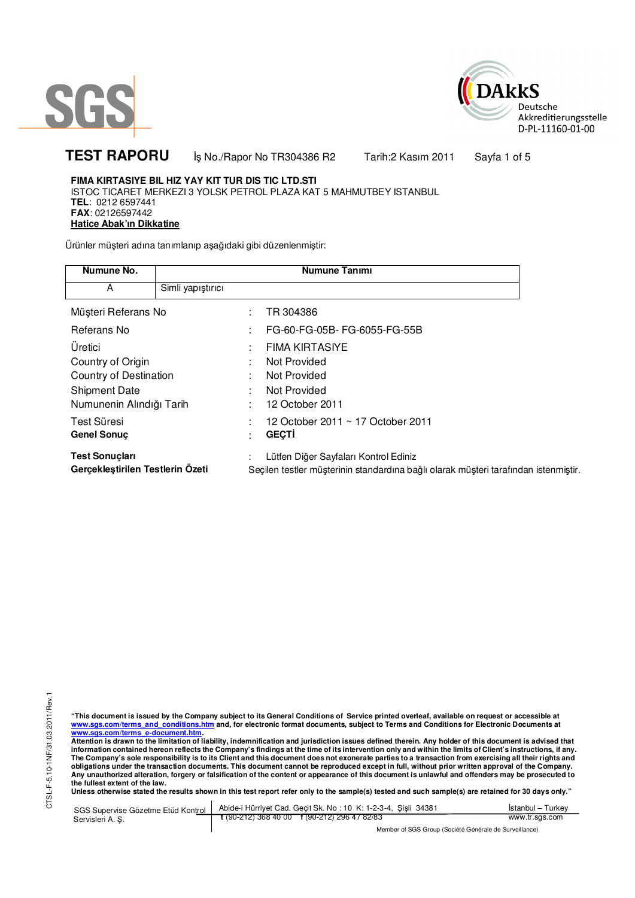



TEST RAPORU **by No./Rapor No TR304386 R2 Tarih:2 Kasım 2011** Sayfa 1 of 5

## **FIMA KIRTASIYE BIL HIZ YAY KIT TUR DIS TIC LTD.STI**

ISTOC TICARET MERKEZI 3 YOLSK PETROL PLAZA KAT 5 MAHMUTBEY ISTANBUL **TEL**: 0212 6597441 **FAX**: 02126597442 **Hatice Abak'ın Dikkatine**

Ürünler müşteri adına tanımlanıp aşağıdaki gibi düzenlenmiştir:

| Numune No.                                                |                   | <b>Numune Tanımı</b>                                                                                                         |
|-----------------------------------------------------------|-------------------|------------------------------------------------------------------------------------------------------------------------------|
| A                                                         | Simli yapıştırıcı |                                                                                                                              |
| Müşteri Referans No                                       |                   | TR 304386                                                                                                                    |
| Referans No                                               |                   | FG-60-FG-05B-FG-6055-FG-55B                                                                                                  |
| Üretici                                                   |                   | <b>FIMA KIRTASIYE</b>                                                                                                        |
| Country of Origin                                         |                   | Not Provided                                                                                                                 |
| Country of Destination                                    |                   | Not Provided                                                                                                                 |
| <b>Shipment Date</b>                                      |                   | Not Provided                                                                                                                 |
| Numunenin Alındığı Tarih                                  |                   | 12 October 2011                                                                                                              |
| Test Süresi                                               |                   | 12 October 2011 ~ 17 October 2011                                                                                            |
| <b>Genel Sonuc</b>                                        |                   | <b>GECTI</b>                                                                                                                 |
| <b>Test Sonuçları</b><br>Gerçekleştirilen Testlerin Ozeti |                   | Lütfen Diğer Sayfaları Kontrol Ediniz<br>Seçilen testler müşterinin standardına bağlı olarak müşteri tarafından istenmiştir. |

"This document is issued by the Company subject to its General Conditions of Service printed overleaf, available on request or accessible at<br>www.sgs.com/terms\_and\_conditions.htm\_and, for electronic format documents, subjec <mark>www.sgs.com/terms\_e-document.htm.</mark><br>Attention is drawn to the limitation of liability, indemnification and jurisdiction issues defined therein. Any holder of this document is advised that

information contained hereon reflects the Company's findings at the time of its intervention only and within the limits of Client's instructions, if any.<br>The Company's sole responsibility is to its Client and this document **obligations under the transaction documents. This document cannot be reproduced except in full, without prior written approval of the Company. Any unauthorized alteration, forgery or falsification of the content or appearance of this document is unlawful and offenders may be prosecuted to the fullest extent of the law.** 

**Unless otherwise stated the results shown in this test report refer only to the sample(s) tested and such sample(s) are retained for 30 days only."** 

SGS Supervise Gözetme Etüd Kontrol Servisleri A. Ş. Abide-i Hürriyet Cad. Geçit Sk. No : 10 K: 1-2-3-4, Şişli 34381 **t** (90-212) 368 40 00 **f** (90-212) 296 47 82/83 İstanbul – Turkey www.tr.sgs.com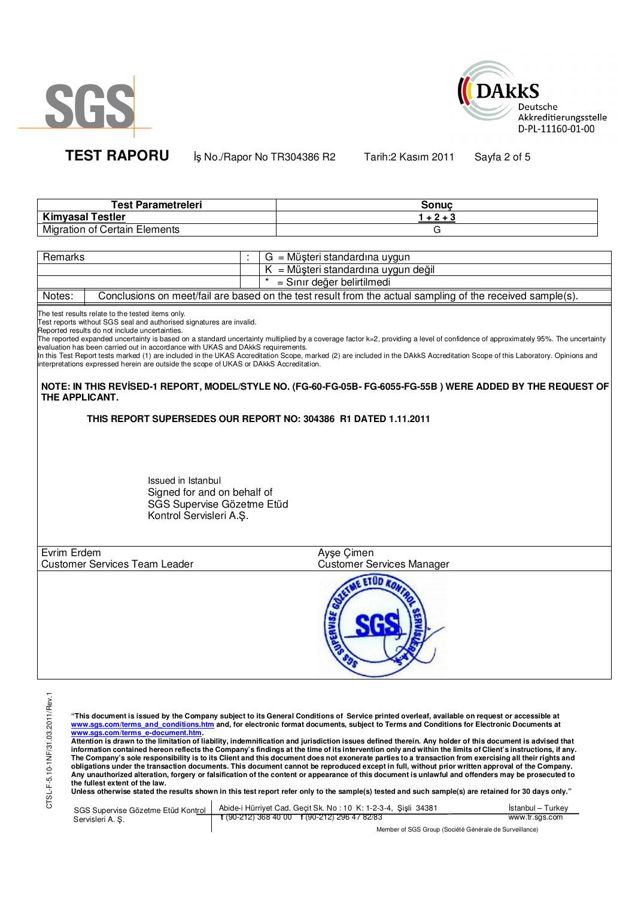



**TEST RAPORU** İş No./Rapor No TR304386 R2 Tarih:2 Kasım 2011 Sayfa 2 of 5

| Test Parametreleri                   | Sonuc |
|--------------------------------------|-------|
| <b>Kimyasal Testler</b>              | 3+2+  |
| <b>Migration of Certain Elements</b> |       |

| Remarks |  | $G = M\ddot{\omega}$ şteri standardına uygun                                                              |
|---------|--|-----------------------------------------------------------------------------------------------------------|
|         |  | $K = M\ddot{\mu}$ şteri standardına uygun değil                                                           |
|         |  | = Sınır değer belirtilmedi                                                                                |
| Notes:  |  | Conclusions on meet/fail are based on the test result from the actual sampling of the received sample(s). |

The test results relate to the tested items only.

Test reports without SGS seal and authorised signatures are invalid.

Reported results do not include uncertainties.

<sub>i</sub>ncertainty and the methal of the research on a standard uncertainty multiplied by a coverage factor k=2, providing a level of confidence of approximately 95%. The uncertainty evaluation has been carried out in accordance with UKAS and DAkkS requirements.

In this Test Report tests marked (1) are included in the UKAS Accreditation Scope, marked (2) are included in the DAkkS Accreditation Scope of this Laboratory. Opinions and interpretations expressed herein are outside the scope of UKAS or DAkkS Accreditation.

**NOTE: IN THIS REVĐSED-1 REPORT, MODEL/STYLE NO. (FG-60-FG-05B- FG-6055-FG-55B ) WERE ADDED BY THE REQUEST OF THE APPLICANT.** 

**THIS REPORT SUPERSEDES OUR REPORT NO: 304386 R1 DATED 1.11.2011**

Issued in Istanbul Signed for and on behalf of SGS Supervise Gözetme Etüd Kontrol Servisleri A.Ş.

| Evrim Erdem                          | Ayşe Çimen                |  |
|--------------------------------------|---------------------------|--|
| <b>Customer Services Team Leader</b> | Customer Services Manager |  |
|                                      |                           |  |

 $\overline{a}$ 

"This document is issued by the Company subject to its General Conditions of Service printed overleaf, available on request or accessible at<br>www.sgs.com/terms\_and\_conditions.htm\_and, for electronic format documents, subjec

<mark>www.sgs.com/terms\_e-document.htm.</mark><br>Attention is drawn to the limitation of liability, indemnification and jurisdiction issues defined therein. Any holder of this document is advised that information contained hereon reflects the Company's findings at the time of its intervention only and within the limits of Client's instructions, if any.<br>The Company's sole responsibility is to its Client and this document **obligations under the transaction documents. This document cannot be reproduced except in full, without prior written approval of the Company. Any unauthorized alteration, forgery or falsification of the content or appearance of this document is unlawful and offenders may be prosecuted to the fullest extent of the law.** 

**Unless otherwise stated the results shown in this test report refer only to the sample(s) tested and such sample(s) are retained for 30 days only."** 

|                  | SGS Supervise Gözetme Etüd Kontrol   Abide-i Hürriyet Cad. Geçit Sk. No: 10 K: 1-2-3-4, Şişli 34381 | İstanbul – Turkev |
|------------------|-----------------------------------------------------------------------------------------------------|-------------------|
| Servisleri A. S. | $\frac{1}{2}$ (90-212) 368 40 00 f (90-212) 296 47 82/83                                            | www.tr.sgs.com    |
|                  |                                                                                                     |                   |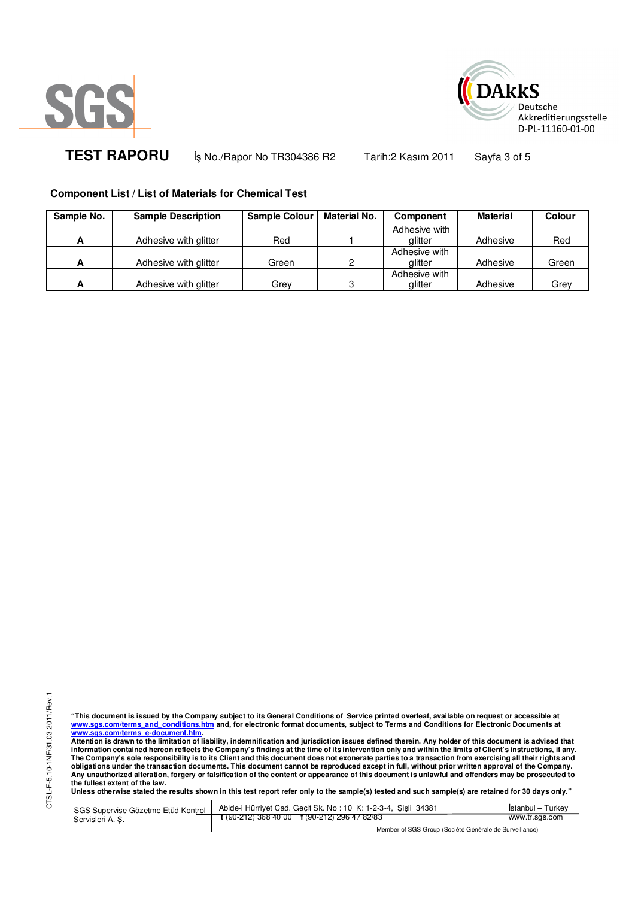



TEST RAPORU **by No./Rapor No TR304386 R2 Tarih:2 Kasım 2011** Sayfa 3 of 5

## **Component List / List of Materials for Chemical Test**

| Sample No. | <b>Sample Description</b> | <b>Sample Colour</b> | <b>Material No.</b> | <b>Component</b> | Material | Colour |
|------------|---------------------------|----------------------|---------------------|------------------|----------|--------|
|            |                           |                      |                     | Adhesive with    |          |        |
|            | Adhesive with glitter     | Red                  |                     | alitter          | Adhesive | Red    |
|            |                           |                      |                     | Adhesive with    |          |        |
|            | Adhesive with glitter     | Green                | ົ                   | alitter          | Adhesive | Green  |
|            |                           |                      |                     | Adhesive with    |          |        |
|            | Adhesive with glitter     | Grev                 | 3                   | glitter          | Adhesive | Grey   |

"This document is issued by the Company subject to its General Conditions of Service printed overleaf, available on request or accessible at<br>www.sgs.com/terms\_and\_conditions.htm\_and, for electronic format documents, subjec <mark>www.sgs.com/terms\_e-document.htm.</mark><br>Attention is drawn to the limitation of liability, indemnification and jurisdiction issues defined therein. Any holder of this document is advised that

information contained hereon reflects the Company's findings at the time of its intervention only and within the limits of Client's instructions, if any.<br>The Company's sole responsibility is to its Client and this document obligations under the transaction documents. This document cannot be reproduced except in full, without prior written approval of the Company.<br>Any unauthorized alteration, forgery or falsification of the content or appeara

**Unless otherwise stated the results shown in this test report refer only to the sample(s) tested and such sample(s) are retained for 30 days only."** 

SGS Supervise Gözetme Etüd Kontrol Servisleri A. Ş. Abide-i Hürriyet Cad. Geçit Sk. No : 10 K: 1-2-3-4, Şişli 34381 **t** (90-212) 368 40 00 **f** (90-212) 296 47 82/83 İstanbul – Turkey www.tr.sgs.com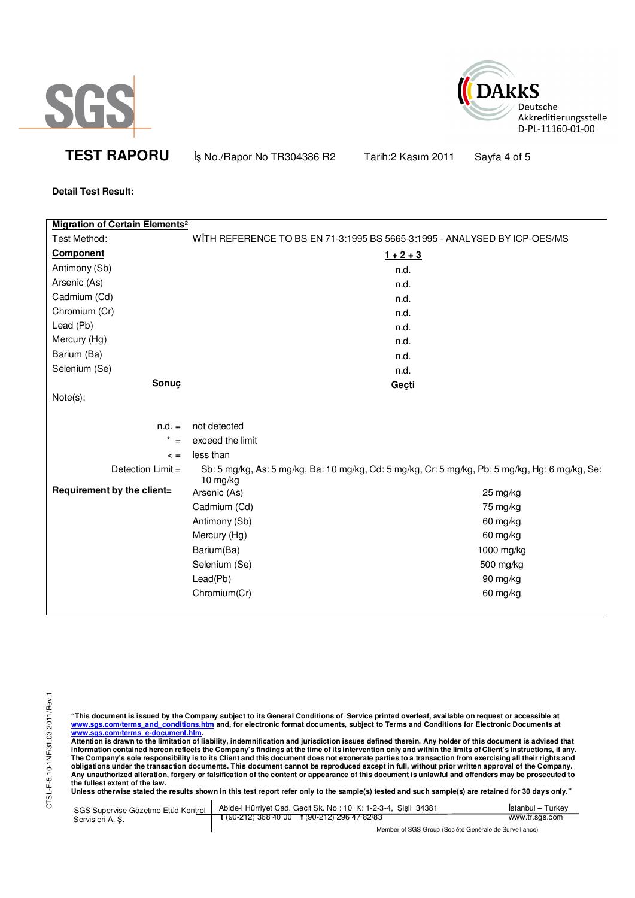



**TEST RAPORU iş No./Rapor No TR304386 R2** Tarih:2 Kasım 2011 Sayfa 4 of 5

**Detail Test Result:** 

| <b>Migration of Certain Elements<sup>2</sup></b> |                                                                           |                                                                                                 |
|--------------------------------------------------|---------------------------------------------------------------------------|-------------------------------------------------------------------------------------------------|
| Test Method:                                     | WITH REFERENCE TO BS EN 71-3:1995 BS 5665-3:1995 - ANALYSED BY ICP-OES/MS |                                                                                                 |
| Component                                        |                                                                           | $1 + 2 + 3$                                                                                     |
| Antimony (Sb)                                    |                                                                           | n.d.                                                                                            |
| Arsenic (As)                                     |                                                                           | n.d.                                                                                            |
| Cadmium (Cd)                                     |                                                                           | n.d.                                                                                            |
| Chromium (Cr)                                    |                                                                           | n.d.                                                                                            |
| Lead (Pb)                                        |                                                                           | n.d.                                                                                            |
| Mercury (Hg)                                     |                                                                           | n.d.                                                                                            |
| Barium (Ba)                                      |                                                                           | n.d.                                                                                            |
| Selenium (Se)                                    |                                                                           | n.d.                                                                                            |
| Sonuç                                            |                                                                           | Geçti                                                                                           |
| $Note(s)$ :                                      |                                                                           |                                                                                                 |
|                                                  |                                                                           |                                                                                                 |
| $n.d. =$                                         | not detected                                                              |                                                                                                 |
| $\star$<br>$=$                                   | exceed the limit                                                          |                                                                                                 |
| $\leq$ =                                         | less than                                                                 |                                                                                                 |
| Detection Limit =                                | $10$ mg/kg                                                                | Sb: 5 mg/kg, As: 5 mg/kg, Ba: 10 mg/kg, Cd: 5 mg/kg, Cr: 5 mg/kg, Pb: 5 mg/kg, Hg: 6 mg/kg, Se: |
| Requirement by the client=                       | Arsenic (As)                                                              | 25 mg/kg                                                                                        |
|                                                  | Cadmium (Cd)                                                              | 75 mg/kg                                                                                        |
|                                                  | Antimony (Sb)                                                             | 60 mg/kg                                                                                        |
|                                                  | Mercury (Hg)                                                              | 60 mg/kg                                                                                        |
|                                                  | Barium(Ba)                                                                | 1000 mg/kg                                                                                      |
|                                                  | Selenium (Se)                                                             | 500 mg/kg                                                                                       |
|                                                  | Lead(Pb)                                                                  | 90 mg/kg                                                                                        |
|                                                  | Chromium(Cr)                                                              | 60 mg/kg                                                                                        |
|                                                  |                                                                           |                                                                                                 |

"This document is issued by the Company subject to its General Conditions of Service printed overleaf, available on request or accessible at<br>www.sgs.com/terms\_and\_conditions.htm\_and, for electronic format documents, subjec

www.sgs.com/terms\_e-document.htm.<br>Attention is drawn to the limitation of liability, indemnification and jurisdiction issues defined therein. Any holder of this document is advised that<br>information contained hereon reflect obligations under the transaction documents. This document cannot be reproduced except in full, without prior written approval of the Company.<br>Any unauthorized alteration, forgery or falsification of the content or appeara

**Unless otherwise stated the results shown in this test report refer only to the sample(s) tested and such sample(s) are retained for 30 days only."** 

| SGS Supervise Gözetme Etüd Kontrol | Abide-i Hürriyet Cad. Gecit Sk. No: 10 K: 1-2-3-4, Sisli 34381 | Istanbul – Turkev                                      |  |  |
|------------------------------------|----------------------------------------------------------------|--------------------------------------------------------|--|--|
| Servisleri A. S.                   | $\frac{1}{2}$ (90-212) 368 40 00 f (90-212) 296 47 82/83       | www.tr.sgs.com                                         |  |  |
|                                    |                                                                | Member of SGS Group (Société Générale de Surveillance) |  |  |